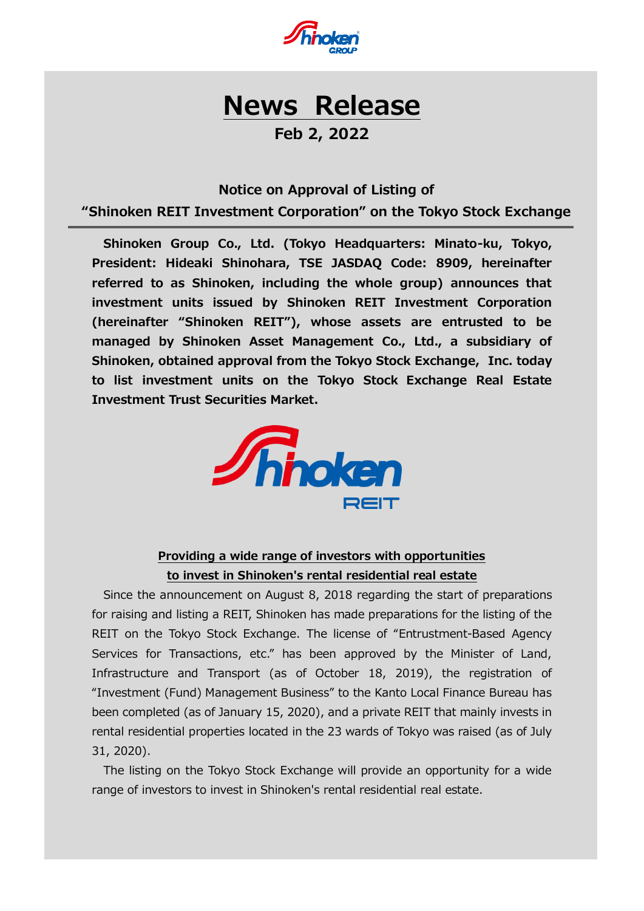

# **News Release**

## **Feb 2, 2022**

#### **Notice on Approval of Listing of**

**"Shinoken REIT Investment Corporation" on the Tokyo Stock Exchange**

**Shinoken Group Co., Ltd. (Tokyo Headquarters: Minato-ku, Tokyo, President: Hideaki Shinohara, TSE JASDAQ Code: 8909, hereinafter referred to as Shinoken, including the whole group) announces that investment units issued by Shinoken REIT Investment Corporation (hereinafter "Shinoken REIT"), whose assets are entrusted to be managed by Shinoken Asset Management Co., Ltd., a subsidiary of Shinoken, obtained approval from the Tokyo Stock Exchange, Inc. today to list investment units on the Tokyo Stock Exchange Real Estate Investment Trust Securities Market.**



## **Providing a wide range of investors with opportunities to invest in Shinoken's rental residential real estate**

Since the announcement on August 8, 2018 regarding the start of preparations for raising and listing a REIT, Shinoken has made preparations for the listing of the REIT on the Tokyo Stock Exchange. The license of "Entrustment-Based Agency Services for Transactions, etc." has been approved by the Minister of Land, Infrastructure and Transport (as of October 18, 2019), the registration of "Investment (Fund) Management Business" to the Kanto Local Finance Bureau has been completed (as of January 15, 2020), and a private REIT that mainly invests in rental residential properties located in the 23 wards of Tokyo was raised (as of July 31, 2020).

The listing on the Tokyo Stock Exchange will provide an opportunity for a wide range of investors to invest in Shinoken's rental residential real estate.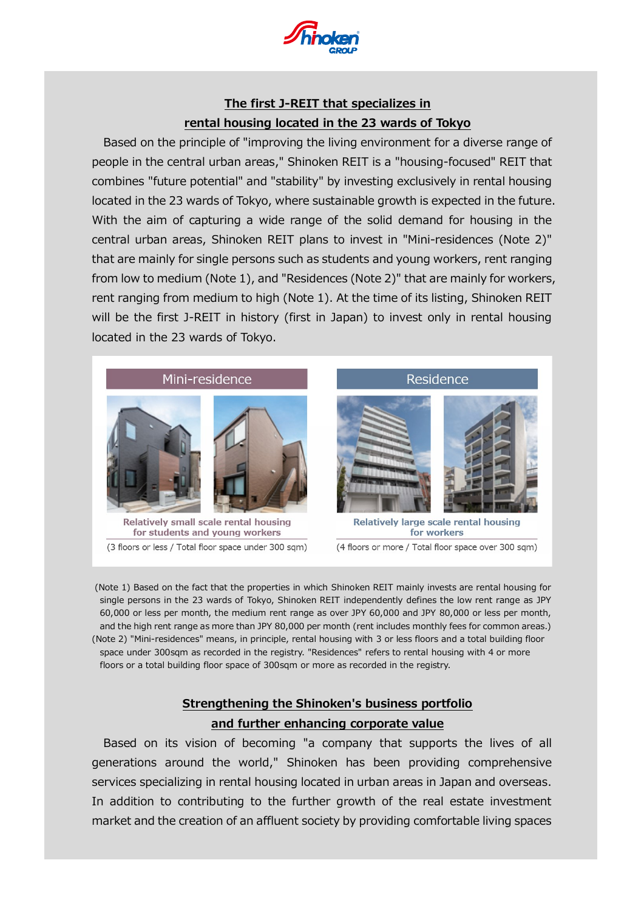

## **The first J-REIT that specializes in rental housing located in the 23 wards of Tokyo**

Based on the principle of "improving the living environment for a diverse range of people in the central urban areas," Shinoken REIT is a "housing-focused" REIT that combines "future potential" and "stability" by investing exclusively in rental housing located in the 23 wards of Tokyo, where sustainable growth is expected in the future. With the aim of capturing a wide range of the solid demand for housing in the central urban areas, Shinoken REIT plans to invest in "Mini-residences (Note 2)" that are mainly for single persons such as students and young workers, rent ranging from low to medium (Note 1), and "Residences (Note 2)" that are mainly for workers, rent ranging from medium to high (Note 1). At the time of its listing, Shinoken REIT will be the first J-REIT in history (first in Japan) to invest only in rental housing located in the 23 wards of Tokyo.



(Note 1) Based on the fact that the properties in which Shinoken REIT mainly invests are rental housing for single persons in the 23 wards of Tokyo, Shinoken REIT independently defines the low rent range as JPY 60,000 or less per month, the medium rent range as over JPY 60,000 and JPY 80,000 or less per month, and the high rent range as more than JPY 80,000 per month (rent includes monthly fees for common areas.) (Note 2) "Mini-residences" means, in principle, rental housing with 3 or less floors and a total building floor space under 300sqm as recorded in the registry. "Residences" refers to rental housing with 4 or more floors or a total building floor space of 300sqm or more as recorded in the registry.

## **Strengthening the Shinoken's business portfolio and further enhancing corporate value**

Based on its vision of becoming "a company that supports the lives of all generations around the world," Shinoken has been providing comprehensive services specializing in rental housing located in urban areas in Japan and overseas. In addition to contributing to the further growth of the real estate investment market and the creation of an affluent society by providing comfortable living spaces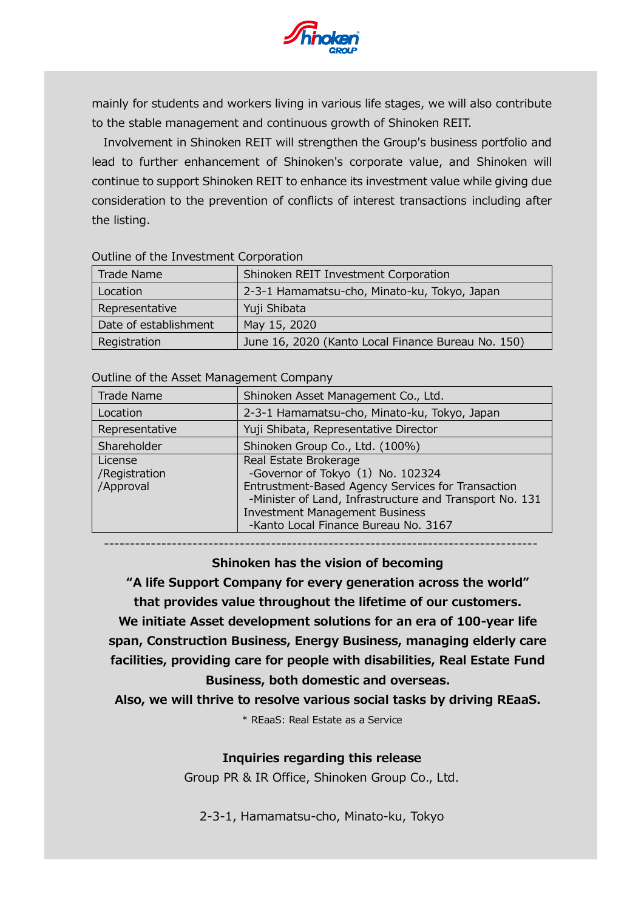

mainly for students and workers living in various life stages, we will also contribute to the stable management and continuous growth of Shinoken REIT.

Involvement in Shinoken REIT will strengthen the Group's business portfolio and lead to further enhancement of Shinoken's corporate value, and Shinoken will continue to support Shinoken REIT to enhance its investment value while giving due consideration to the prevention of conflicts of interest transactions including after the listing.

| Trade Name            | Shinoken REIT Investment Corporation               |
|-----------------------|----------------------------------------------------|
| Location              | 2-3-1 Hamamatsu-cho, Minato-ku, Tokyo, Japan       |
| Representative        | Yuji Shibata                                       |
| Date of establishment | May 15, 2020                                       |
| Registration          | June 16, 2020 (Kanto Local Finance Bureau No. 150) |

#### Outline of the Investment Corporation

#### Outline of the Asset Management Company

| Trade Name                            | Shinoken Asset Management Co., Ltd.                                                                                                                                                                                                                         |
|---------------------------------------|-------------------------------------------------------------------------------------------------------------------------------------------------------------------------------------------------------------------------------------------------------------|
| Location                              | 2-3-1 Hamamatsu-cho, Minato-ku, Tokyo, Japan                                                                                                                                                                                                                |
| Representative                        | Yuji Shibata, Representative Director                                                                                                                                                                                                                       |
| Shareholder                           | Shinoken Group Co., Ltd. (100%)                                                                                                                                                                                                                             |
| License<br>/Registration<br>/Approval | Real Estate Brokerage<br>-Governor of Tokyo (1) No. 102324<br>Entrustment-Based Agency Services for Transaction<br>-Minister of Land, Infrastructure and Transport No. 131<br><b>Investment Management Business</b><br>-Kanto Local Finance Bureau No. 3167 |

-----------------------------------------------------------------------------------

**Shinoken has the vision of becoming**

**"A life Support Company for every generation across the world" that provides value throughout the lifetime of our customers. We initiate Asset development solutions for an era of 100-year life**

**span, Construction Business, Energy Business, managing elderly care facilities, providing care for people with disabilities, Real Estate Fund Business, both domestic and overseas.**

**Also, we will thrive to resolve various social tasks by driving REaaS.**

\* REaaS: Real Estate as a Service

#### **Inquiries regarding this release**

Group PR & IR Office, Shinoken Group Co., Ltd.

2-3-1, Hamamatsu-cho, Minato-ku, Tokyo